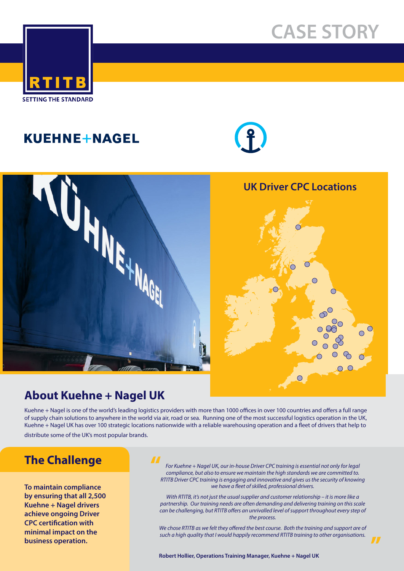# **CASE STORY**



# KUEHNE+NAGEL



#### **UK Driver CPC Locations**





## **About Kuehne + Nagel UK**

Kuehne + Nagel is one of the world's leading logistics providers with more than 1000 offices in over 100 countries and offers a full range of supply chain solutions to anywhere in the world via air, road or sea. Running one of the most successful logistics operation in the UK, Kuehne + Nagel UK has over 100 strategic locations nationwide with a reliable warehousing operation and a fleet of drivers that help to distribute some of the UK's most popular brands.

### **The Challenge**

**by**<br>Ku<br>ac **To maintain compliance by ensuring that all 2,500 Kuehne + Nagel drivers achieve ongoing Driver CPC certification with minimal impact on the** 

#### **"**

*For Kuehne + Nagel UK, our in-house Driver CPC training is essential not only for legal compliance, but also to ensure we maintain the high standards we are committed to. RTITB Driver CPC training is engaging and innovative and gives us the security of knowing we have a fleet of skilled, professional drivers.* 

*With RTITB, it's not just the usual supplier and customer relationship – it is more like a partnership. Our training needs are often demanding and delivering training on this scale can be challenging, but RTITB offers an unrivalled level of support throughout every step of the process.*

*We chose RTITB as we felt they offered the best course. Both the training and support are of such a high quality that I would happily recommend RTITB training to other organisations.* **business operation. "**